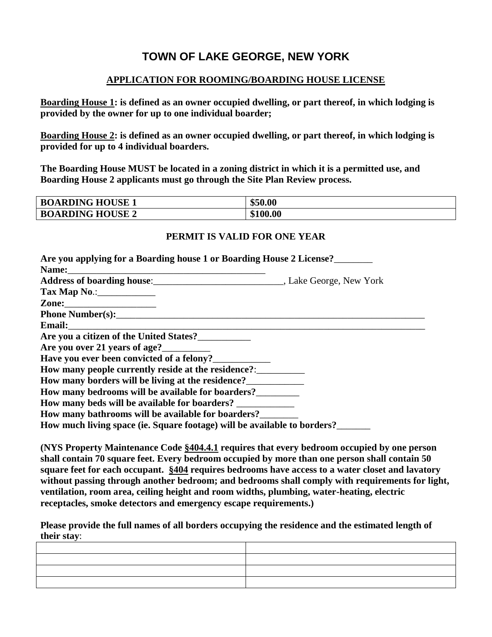## **TOWN OF LAKE GEORGE, NEW YORK**

## **APPLICATION FOR ROOMING/BOARDING HOUSE LICENSE**

**Boarding House 1: is defined as an owner occupied dwelling, or part thereof, in which lodging is provided by the owner for up to one individual boarder;**

**Boarding House 2: is defined as an owner occupied dwelling, or part thereof, in which lodging is provided for up to 4 individual boarders.**

**The Boarding House MUST be located in a zoning district in which it is a permitted use, and Boarding House 2 applicants must go through the Site Plan Review process.**

| <b>BOARDING HOUSE 1</b> | \$50.00  |
|-------------------------|----------|
| <b>BOARDING HOUSE 2</b> | \$100.00 |

## **PERMIT IS VALID FOR ONE YEAR**

**(NYS Property Maintenance Code §404.4.1 requires that every bedroom occupied by one person shall contain 70 square feet. Every bedroom occupied by more than one person shall contain 50 square feet for each occupant. §404 requires bedrooms have access to a water closet and lavatory without passing through another bedroom; and bedrooms shall comply with requirements for light, ventilation, room area, ceiling height and room widths, plumbing, water-heating, electric receptacles, smoke detectors and emergency escape requirements.)**

**Please provide the full names of all borders occupying the residence and the estimated length of their stay**: